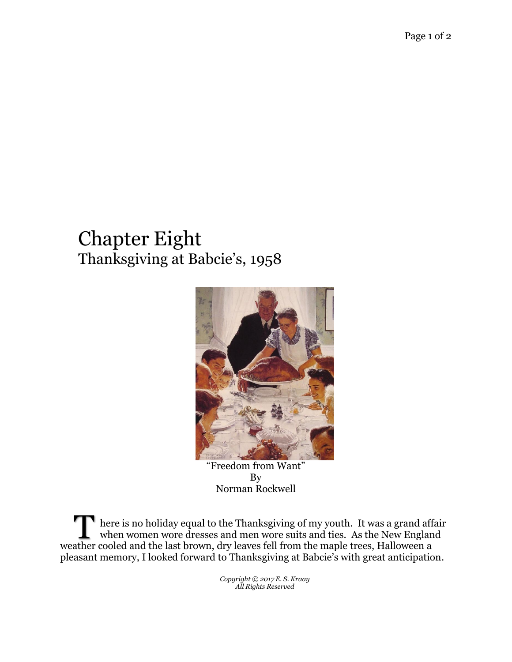## Chapter Eight Thanksgiving at Babcie's, 1958



"Freedom from Want" By Norman Rockwell

here is no holiday equal to the Thanksgiving of my youth. It was a grand affair when women wore dresses and men wore suits and ties. As the New England There is no holiday equal to the Thanksgiving of my youth. It was a grand aff when women wore dresses and men wore suits and ties. As the New Englan weather cooled and the last brown, dry leaves fell from the maple trees, pleasant memory, I looked forward to Thanksgiving at Babcie's with great anticipation.

> *Copyright © 2017 E. S. Kraay All Rights Reserved*